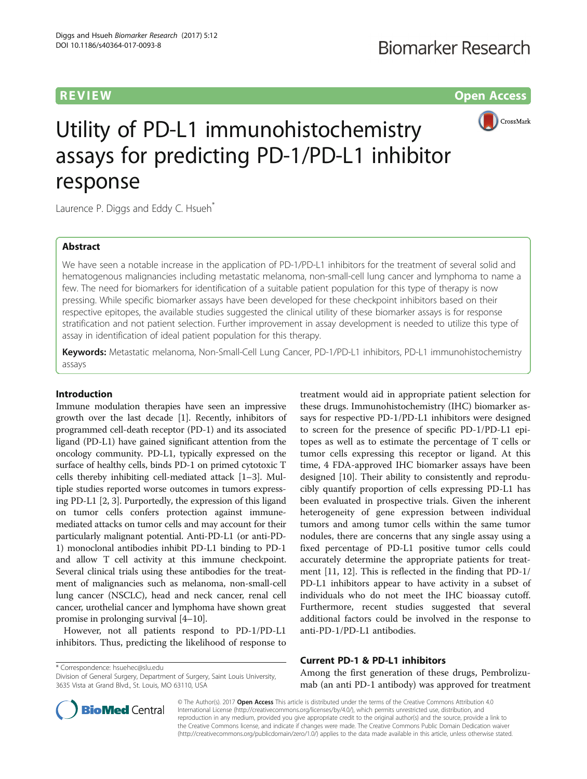**REVIEW CONSTRUCTION CONSTRUCTION CONSTRUCTS** 



# Utility of PD-L1 immunohistochemistry assays for predicting PD-1/PD-L1 inhibitor response

Laurence P. Diggs and Eddy C. Hsueh<sup>\*</sup>

# Abstract

We have seen a notable increase in the application of PD-1/PD-L1 inhibitors for the treatment of several solid and hematogenous malignancies including metastatic melanoma, non-small-cell lung cancer and lymphoma to name a few. The need for biomarkers for identification of a suitable patient population for this type of therapy is now pressing. While specific biomarker assays have been developed for these checkpoint inhibitors based on their respective epitopes, the available studies suggested the clinical utility of these biomarker assays is for response stratification and not patient selection. Further improvement in assay development is needed to utilize this type of assay in identification of ideal patient population for this therapy.

Keywords: Metastatic melanoma, Non-Small-Cell Lung Cancer, PD-1/PD-L1 inhibitors, PD-L1 immunohistochemistry assays

# Introduction

Immune modulation therapies have seen an impressive growth over the last decade [[1](#page-3-0)]. Recently, inhibitors of programmed cell-death receptor (PD-1) and its associated ligand (PD-L1) have gained significant attention from the oncology community. PD-L1, typically expressed on the surface of healthy cells, binds PD-1 on primed cytotoxic T cells thereby inhibiting cell-mediated attack [\[1](#page-3-0)–[3\]](#page-3-0). Multiple studies reported worse outcomes in tumors expressing PD-L1 [[2, 3](#page-3-0)]. Purportedly, the expression of this ligand on tumor cells confers protection against immunemediated attacks on tumor cells and may account for their particularly malignant potential. Anti-PD-L1 (or anti-PD-1) monoclonal antibodies inhibit PD-L1 binding to PD-1 and allow T cell activity at this immune checkpoint. Several clinical trials using these antibodies for the treatment of malignancies such as melanoma, non-small-cell lung cancer (NSCLC), head and neck cancer, renal cell cancer, urothelial cancer and lymphoma have shown great promise in prolonging survival [[4](#page-3-0)–[10](#page-3-0)].

However, not all patients respond to PD-1/PD-L1 inhibitors. Thus, predicting the likelihood of response to

\* Correspondence: [hsuehec@slu.edu](mailto:hsuehec@slu.edu)

treatment would aid in appropriate patient selection for these drugs. Immunohistochemistry (IHC) biomarker assays for respective PD-1/PD-L1 inhibitors were designed to screen for the presence of specific PD-1/PD-L1 epitopes as well as to estimate the percentage of T cells or tumor cells expressing this receptor or ligand. At this time, 4 FDA-approved IHC biomarker assays have been designed [\[10\]](#page-3-0). Their ability to consistently and reproducibly quantify proportion of cells expressing PD-L1 has been evaluated in prospective trials. Given the inherent heterogeneity of gene expression between individual tumors and among tumor cells within the same tumor nodules, there are concerns that any single assay using a fixed percentage of PD-L1 positive tumor cells could accurately determine the appropriate patients for treatment [\[11](#page-3-0), [12](#page-3-0)]. This is reflected in the finding that PD-1/ PD-L1 inhibitors appear to have activity in a subset of individuals who do not meet the IHC bioassay cutoff. Furthermore, recent studies suggested that several additional factors could be involved in the response to anti-PD-1/PD-L1 antibodies.

# Current PD-1 & PD-L1 inhibitors

Among the first generation of these drugs, Pembrolizumab (an anti PD-1 antibody) was approved for treatment



© The Author(s). 2017 Open Access This article is distributed under the terms of the Creative Commons Attribution 4.0 International License [\(http://creativecommons.org/licenses/by/4.0/](http://creativecommons.org/licenses/by/4.0/)), which permits unrestricted use, distribution, and reproduction in any medium, provided you give appropriate credit to the original author(s) and the source, provide a link to the Creative Commons license, and indicate if changes were made. The Creative Commons Public Domain Dedication waiver [\(http://creativecommons.org/publicdomain/zero/1.0/](http://creativecommons.org/publicdomain/zero/1.0/)) applies to the data made available in this article, unless otherwise stated.

Division of General Surgery, Department of Surgery, Saint Louis University, 3635 Vista at Grand Blvd., St. Louis, MO 63110, USA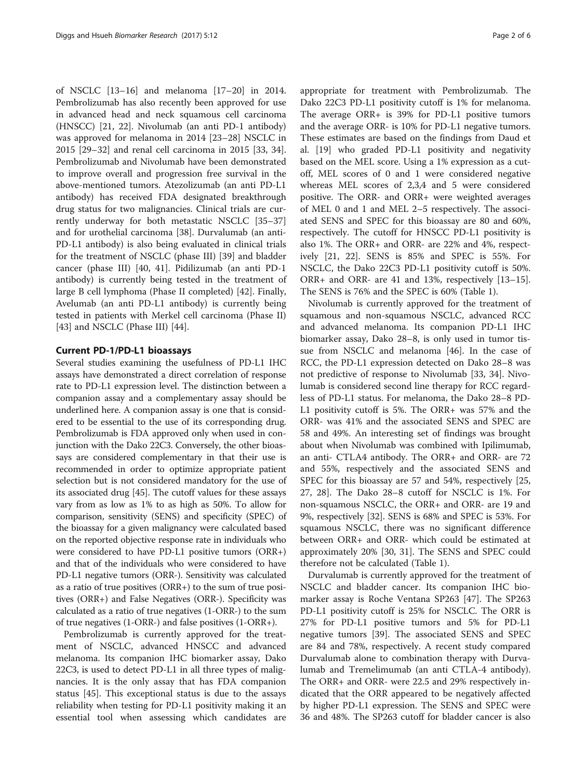of NSCLC [[13](#page-3-0)–[16](#page-3-0)] and melanoma [[17](#page-3-0)–[20](#page-4-0)] in 2014. Pembrolizumab has also recently been approved for use in advanced head and neck squamous cell carcinoma (HNSCC) [\[21, 22](#page-4-0)]. Nivolumab (an anti PD-1 antibody) was approved for melanoma in 2014 [\[23](#page-4-0)–[28](#page-4-0)] NSCLC in 2015 [\[29](#page-4-0)–[32\]](#page-4-0) and renal cell carcinoma in 2015 [[33, 34](#page-4-0)]. Pembrolizumab and Nivolumab have been demonstrated to improve overall and progression free survival in the above-mentioned tumors. Atezolizumab (an anti PD-L1 antibody) has received FDA designated breakthrough drug status for two malignancies. Clinical trials are currently underway for both metastatic NSCLC [[35](#page-4-0)–[37](#page-4-0)] and for urothelial carcinoma [[38\]](#page-4-0). Durvalumab (an anti-PD-L1 antibody) is also being evaluated in clinical trials for the treatment of NSCLC (phase III) [[39](#page-4-0)] and bladder cancer (phase III) [[40, 41](#page-4-0)]. Pidilizumab (an anti PD-1 antibody) is currently being tested in the treatment of large B cell lymphoma (Phase II completed) [\[42\]](#page-4-0). Finally, Avelumab (an anti PD-L1 antibody) is currently being tested in patients with Merkel cell carcinoma (Phase II) [[43\]](#page-4-0) and NSCLC (Phase III) [[44\]](#page-4-0).

# Current PD-1/PD-L1 bioassays

Several studies examining the usefulness of PD-L1 IHC assays have demonstrated a direct correlation of response rate to PD-L1 expression level. The distinction between a companion assay and a complementary assay should be underlined here. A companion assay is one that is considered to be essential to the use of its corresponding drug. Pembrolizumab is FDA approved only when used in conjunction with the Dako 22C3. Conversely, the other bioassays are considered complementary in that their use is recommended in order to optimize appropriate patient selection but is not considered mandatory for the use of its associated drug [\[45\]](#page-4-0). The cutoff values for these assays vary from as low as 1% to as high as 50%. To allow for comparison, sensitivity (SENS) and specificity (SPEC) of the bioassay for a given malignancy were calculated based on the reported objective response rate in individuals who were considered to have PD-L1 positive tumors (ORR+) and that of the individuals who were considered to have PD-L1 negative tumors (ORR-). Sensitivity was calculated as a ratio of true positives (ORR+) to the sum of true positives (ORR+) and False Negatives (ORR-). Specificity was calculated as a ratio of true negatives (1-ORR-) to the sum of true negatives (1-ORR-) and false positives (1-ORR+).

Pembrolizumab is currently approved for the treatment of NSCLC, advanced HNSCC and advanced melanoma. Its companion IHC biomarker assay, Dako 22C3, is used to detect PD-L1 in all three types of malignancies. It is the only assay that has FDA companion status [[45](#page-4-0)]. This exceptional status is due to the assays reliability when testing for PD-L1 positivity making it an essential tool when assessing which candidates are appropriate for treatment with Pembrolizumab. The Dako 22C3 PD-L1 positivity cutoff is 1% for melanoma. The average ORR+ is 39% for PD-L1 positive tumors and the average ORR- is 10% for PD-L1 negative tumors. These estimates are based on the findings from Daud et al. [[19](#page-4-0)] who graded PD-L1 positivity and negativity based on the MEL score. Using a 1% expression as a cutoff, MEL scores of 0 and 1 were considered negative whereas MEL scores of 2,3,4 and 5 were considered positive. The ORR- and ORR+ were weighted averages of MEL 0 and 1 and MEL 2–5 respectively. The associated SENS and SPEC for this bioassay are 80 and 60%, respectively. The cutoff for HNSCC PD-L1 positivity is also 1%. The ORR+ and ORR- are 22% and 4%, respectively [[21](#page-4-0), [22\]](#page-4-0). SENS is 85% and SPEC is 55%. For NSCLC, the Dako 22C3 PD-L1 positivity cutoff is 50%. ORR+ and ORR- are 41 and 13%, respectively [[13](#page-3-0)–[15](#page-3-0)]. The SENS is 76% and the SPEC is 60% (Table [1](#page-2-0)).

Nivolumab is currently approved for the treatment of squamous and non-squamous NSCLC, advanced RCC and advanced melanoma. Its companion PD-L1 IHC biomarker assay, Dako 28–8, is only used in tumor tissue from NSCLC and melanoma [\[46\]](#page-4-0). In the case of RCC, the PD-L1 expression detected on Dako 28–8 was not predictive of response to Nivolumab [[33, 34](#page-4-0)]. Nivolumab is considered second line therapy for RCC regardless of PD-L1 status. For melanoma, the Dako 28–8 PD-L1 positivity cutoff is 5%. The ORR+ was 57% and the ORR- was 41% and the associated SENS and SPEC are 58 and 49%. An interesting set of findings was brought about when Nivolumab was combined with Ipilimumab, an anti- CTLA4 antibody. The ORR+ and ORR- are 72 and 55%, respectively and the associated SENS and SPEC for this bioassay are 57 and 54%, respectively [[25](#page-4-0), [27, 28](#page-4-0)]. The Dako 28–8 cutoff for NSCLC is 1%. For non-squamous NSCLC, the ORR+ and ORR- are 19 and 9%, respectively [[32](#page-4-0)]. SENS is 68% and SPEC is 53%. For squamous NSCLC, there was no significant difference between ORR+ and ORR- which could be estimated at approximately 20% [[30, 31](#page-4-0)]. The SENS and SPEC could therefore not be calculated (Table [1\)](#page-2-0).

Durvalumab is currently approved for the treatment of NSCLC and bladder cancer. Its companion IHC biomarker assay is Roche Ventana SP263 [[47](#page-4-0)]. The SP263 PD-L1 positivity cutoff is 25% for NSCLC. The ORR is 27% for PD-L1 positive tumors and 5% for PD-L1 negative tumors [[39](#page-4-0)]. The associated SENS and SPEC are 84 and 78%, respectively. A recent study compared Durvalumab alone to combination therapy with Durvalumab and Tremelimumab (an anti CTLA-4 antibody). The ORR+ and ORR- were 22.5 and 29% respectively indicated that the ORR appeared to be negatively affected by higher PD-L1 expression. The SENS and SPEC were 36 and 48%. The SP263 cutoff for bladder cancer is also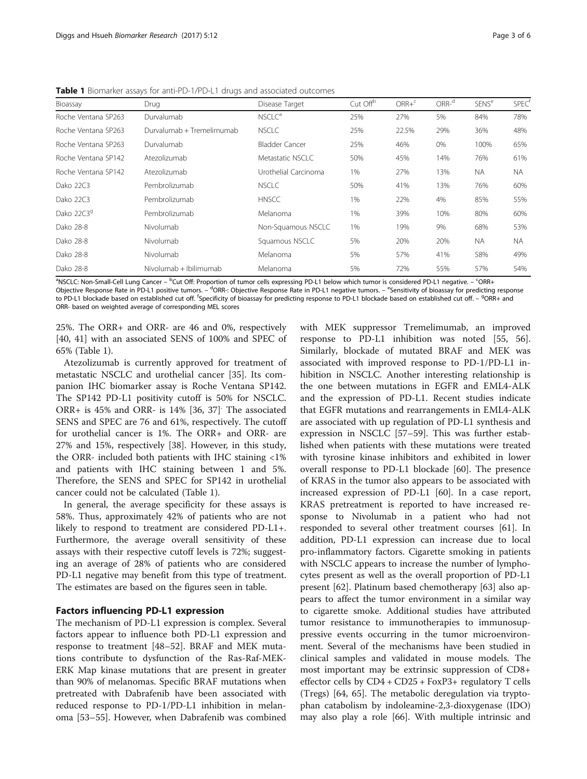| Bioassay            | Drug                      | Disease Target       | Cut Off <sup>b</sup> | $ORR +c$ | ORR <sup>d</sup> | <b>SENS<sup>e</sup></b> | <b>SPEC</b> |
|---------------------|---------------------------|----------------------|----------------------|----------|------------------|-------------------------|-------------|
| Roche Ventana SP263 | Durvalumab                | NSCLC <sup>a</sup>   | 25%                  | 27%      | 5%               | 84%                     | 78%         |
| Roche Ventana SP263 | Durvalumab + Tremelimumab | <b>NSCLC</b>         | 25%                  | 22.5%    | 29%              | 36%                     | 48%         |
| Roche Ventana SP263 | Durvalumab                | Bladder Cancer       | 25%                  | 46%      | 0%               | 100%                    | 65%         |
| Roche Ventana SP142 | Atezolizumab              | Metastatic NSCLC     | 50%                  | 45%      | 14%              | 76%                     | 61%         |
| Roche Ventana SP142 | Atezolizumab              | Urothelial Carcinoma | 1%                   | 27%      | 13%              | <b>NA</b>               | NA          |
| Dako 22C3           | Pembrolizumab             | <b>NSCLC</b>         | 50%                  | 41%      | 13%              | 76%                     | 60%         |
| Dako 22C3           | Pembrolizumab             | <b>HNSCC</b>         | 1%                   | 22%      | 4%               | 85%                     | 55%         |
| Dako 22C39          | Pembrolizumab             | Melanoma             | 1%                   | 39%      | 10%              | 80%                     | 60%         |
| Dako 28-8           | Nivolumab                 | Non-Squamous NSCLC   | 1%                   | 19%      | 9%               | 68%                     | 53%         |
| Dako 28-8           | Nivolumab                 | Squamous NSCLC       | 5%                   | 20%      | 20%              | <b>NA</b>               | NA.         |
| Dako 28-8           | Nivolumab                 | Melanoma             | 5%                   | 57%      | 41%              | 58%                     | 49%         |
| Dako 28-8           | Nivolumab + Ibilimumab    | Melanoma             | 5%                   | 72%      | 55%              | 57%                     | 54%         |

<span id="page-2-0"></span>Table 1 Biomarker assays for anti-PD-1/PD-L1 drugs and associated outcomes

<sup>a</sup>NSCLC: Non-Small-Cell Lung Cancer – <sup>b</sup>Cut Off: Proportion of tumor cells expressing PD-L1 below which tumor is considered PD-L1 negative. – <sup>c</sup>ORR+ Objective Response Rate in PD-L1 positive tumors. – <sup>d</sup>ORR-: Objective Response Rate in PD-L1 negative tumors. – <sup>e</sup>Sensitivity of bioassay for predicting response to PD-L1 blockade based on established cut off. <sup>f</sup>Specificity of bioassay for predicting response to PD-L1 blockade based on established cut off. – <sup>9</sup>ORR+ and ORR- based on weighted average of corresponding MEL scores

25%. The ORR+ and ORR- are 46 and 0%, respectively [[40, 41](#page-4-0)] with an associated SENS of 100% and SPEC of 65% (Table 1).

Atezolizumab is currently approved for treatment of metastatic NSCLC and urothelial cancer [\[35\]](#page-4-0). Its companion IHC biomarker assay is Roche Ventana SP142. The SP142 PD-L1 positivity cutoff is 50% for NSCLC. ORR+ is 45% and ORR- is 14% [\[36](#page-4-0), [37\]](#page-4-0). The associated SENS and SPEC are 76 and 61%, respectively. The cutoff for urothelial cancer is 1%. The ORR+ and ORR- are 27% and 15%, respectively [\[38\]](#page-4-0). However, in this study, the ORR- included both patients with IHC staining <1% and patients with IHC staining between 1 and 5%. Therefore, the SENS and SPEC for SP142 in urothelial cancer could not be calculated (Table 1).

In general, the average specificity for these assays is 58%. Thus, approximately 42% of patients who are not likely to respond to treatment are considered PD-L1+. Furthermore, the average overall sensitivity of these assays with their respective cutoff levels is 72%; suggesting an average of 28% of patients who are considered PD-L1 negative may benefit from this type of treatment. The estimates are based on the figures seen in table.

# Factors influencing PD-L1 expression

The mechanism of PD-L1 expression is complex. Several factors appear to influence both PD-L1 expression and response to treatment [\[48](#page-4-0)–[52\]](#page-4-0). BRAF and MEK mutations contribute to dysfunction of the Ras-Raf-MEK-ERK Map kinase mutations that are present in greater than 90% of melanomas. Specific BRAF mutations when pretreated with Dabrafenib have been associated with reduced response to PD-1/PD-L1 inhibition in melanoma [\[53](#page-4-0)–[55\]](#page-4-0). However, when Dabrafenib was combined with MEK suppressor Tremelimumab, an improved response to PD-L1 inhibition was noted [[55, 56](#page-4-0)]. Similarly, blockade of mutated BRAF and MEK was associated with improved response to PD-1/PD-L1 inhibition in NSCLC. Another interesting relationship is the one between mutations in EGFR and EML4-ALK and the expression of PD-L1. Recent studies indicate that EGFR mutations and rearrangements in EML4-ALK are associated with up regulation of PD-L1 synthesis and expression in NSCLC [[57](#page-4-0)–[59](#page-4-0)]. This was further established when patients with these mutations were treated with tyrosine kinase inhibitors and exhibited in lower overall response to PD-L1 blockade [\[60\]](#page-5-0). The presence of KRAS in the tumor also appears to be associated with increased expression of PD-L1 [[60\]](#page-5-0). In a case report, KRAS pretreatment is reported to have increased response to Nivolumab in a patient who had not responded to several other treatment courses [[61](#page-5-0)]. In addition, PD-L1 expression can increase due to local pro-inflammatory factors. Cigarette smoking in patients with NSCLC appears to increase the number of lymphocytes present as well as the overall proportion of PD-L1 present [\[62\]](#page-5-0). Platinum based chemotherapy [\[63](#page-5-0)] also appears to affect the tumor environment in a similar way to cigarette smoke. Additional studies have attributed tumor resistance to immunotherapies to immunosuppressive events occurring in the tumor microenvironment. Several of the mechanisms have been studied in clinical samples and validated in mouse models. The most important may be extrinsic suppression of CD8+ effector cells by CD4 + CD25 + FoxP3+ regulatory T cells (Tregs) [\[64](#page-5-0), [65\]](#page-5-0). The metabolic deregulation via tryptophan catabolism by indoleamine-2,3-dioxygenase (IDO) may also play a role [\[66\]](#page-5-0). With multiple intrinsic and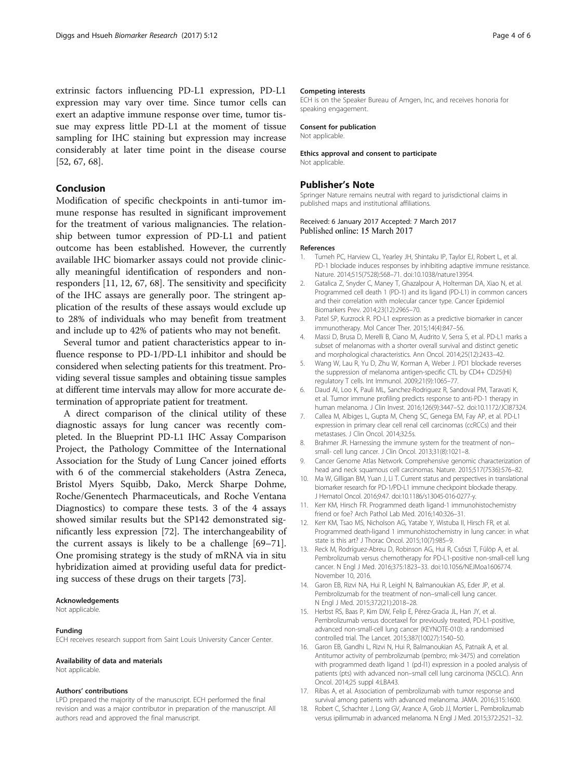<span id="page-3-0"></span>extrinsic factors influencing PD-L1 expression, PD-L1 expression may vary over time. Since tumor cells can exert an adaptive immune response over time, tumor tissue may express little PD-L1 at the moment of tissue sampling for IHC staining but expression may increase considerably at later time point in the disease course [[52,](#page-4-0) [67, 68](#page-5-0)].

# Conclusion

Modification of specific checkpoints in anti-tumor immune response has resulted in significant improvement for the treatment of various malignancies. The relationship between tumor expression of PD-L1 and patient outcome has been established. However, the currently available IHC biomarker assays could not provide clinically meaningful identification of responders and nonresponders [11, 12, [67, 68\]](#page-5-0). The sensitivity and specificity of the IHC assays are generally poor. The stringent application of the results of these assays would exclude up to 28% of individuals who may benefit from treatment and include up to 42% of patients who may not benefit.

Several tumor and patient characteristics appear to influence response to PD-1/PD-L1 inhibitor and should be considered when selecting patients for this treatment. Providing several tissue samples and obtaining tissue samples at different time intervals may allow for more accurate determination of appropriate patient for treatment.

A direct comparison of the clinical utility of these diagnostic assays for lung cancer was recently completed. In the Blueprint PD-L1 IHC Assay Comparison Project, the Pathology Committee of the International Association for the Study of Lung Cancer joined efforts with 6 of the commercial stakeholders (Astra Zeneca, Bristol Myers Squibb, Dako, Merck Sharpe Dohme, Roche/Genentech Pharmaceuticals, and Roche Ventana Diagnostics) to compare these tests. 3 of the 4 assays showed similar results but the SP142 demonstrated significantly less expression [[72\]](#page-5-0). The interchangeability of the current assays is likely to be a challenge [[69](#page-5-0)–[71](#page-5-0)]. One promising strategy is the study of mRNA via in situ hybridization aimed at providing useful data for predicting success of these drugs on their targets [[73\]](#page-5-0).

#### Acknowledgements

Not applicable.

#### Funding

ECH receives research support from Saint Louis University Cancer Center.

#### Availability of data and materials

Not applicable.

### Authors' contributions

LPD prepared the majority of the manuscript. ECH performed the final revision and was a major contributor in preparation of the manuscript. All authors read and approved the final manuscript.

#### Competing interests

ECH is on the Speaker Bureau of Amgen, Inc, and receives honoria for speaking engagement.

#### Consent for publication

Not applicable.

#### Ethics approval and consent to participate Not applicable.

## Publisher's Note

Springer Nature remains neutral with regard to jurisdictional claims in published maps and institutional affiliations.

### Received: 6 January 2017 Accepted: 7 March 2017 Published online: 15 March 2017

#### References

- 1. Tumeh PC, Harview CL, Yearley JH, Shintaku IP, Taylor EJ, Robert L, et al. PD-1 blockade induces responses by inhibiting adaptive immune resistance. Nature. 2014;515(7528):568–71. doi:[10.1038/nature13954.](http://dx.doi.org/10.1038/nature13954)
- 2. Gatalica Z, Snyder C, Maney T, Ghazalpour A, Holterman DA, Xiao N, et al. Programmed cell death 1 (PD-1) and its ligand (PD-L1) in common cancers and their correlation with molecular cancer type. Cancer Epidemiol Biomarkers Prev. 2014;23(12):2965–70.
- 3. Patel SP, Kurzrock R. PD-L1 expression as a predictive biomarker in cancer immunotherapy. Mol Cancer Ther. 2015;14(4):847–56.
- 4. Massi D, Brusa D, Merelli B, Ciano M, Audrito V, Serra S, et al. PD-L1 marks a subset of melanomas with a shorter overall survival and distinct genetic and morphological characteristics. Ann Oncol. 2014;25(12):2433–42.
- 5. Wang W, Lau R, Yu D, Zhu W, Korman A, Weber J. PD1 blockade reverses the suppression of melanoma antigen-specific CTL by CD4+ CD25(Hi) regulatory T cells. Int Immunol. 2009;21(9):1065–77.
- 6. Daud AI, Loo K, Pauli ML, Sanchez-Rodriguez R, Sandoval PM, Taravati K, et al. Tumor immune profiling predicts response to anti-PD-1 therapy in human melanoma. J Clin Invest. 2016;126(9):3447–52. doi[:10.1172/JCI87324](http://dx.doi.org/10.1172/JCI87324).
- 7. Callea M, Albiges L, Gupta M, Cheng SC, Genega EM, Fay AP, et al. PD-L1 expression in primary clear cell renal cell carcinomas (ccRCCs) and their metastases. J Clin Oncol. 2014;32:5s.
- 8. Brahmer JR. Harnessing the immune system for the treatment of nonsmall- cell lung cancer. J Clin Oncol. 2013;31(8):1021–8.
- 9. Cancer Genome Atlas Network. Comprehensive genomic characterization of head and neck squamous cell carcinomas. Nature. 2015;517(7536):576–82.
- 10. Ma W, Gilligan BM, Yuan J, Li T. Current status and perspectives in translational biomarker research for PD-1/PD-L1 immune checkpoint blockade therapy. J Hematol Oncol. 2016;9:47. doi[:10.1186/s13045-016-0277-y](http://dx.doi.org/10.1186/s13045-016-0277-y).
- 11. Kerr KM, Hirsch FR. Programmed death ligand-1 immunohistochemistry friend or foe? Arch Pathol Lab Med. 2016;140:326–31.
- 12. Kerr KM, Tsao MS, Nicholson AG, Yatabe Y, Wistuba II, Hirsch FR, et al. Programmed death-ligand 1 immunohistochemistry in lung cancer: in what state is this art? J Thorac Oncol. 2015;10(7):985–9.
- 13. Reck M, Rodríguez-Abreu D, Robinson AG, Hui R, Csőszi T, Fülöp A, et al. Pembrolizumab versus chemotherapy for PD-L1-positive non-small-cell lung cancer. N Engl J Med. 2016;375:1823–33. doi:[10.1056/NEJMoa1606774](http://dx.doi.org/10.1056/NEJMoa1606774). November 10, 2016.
- 14. Garon EB, Rizvi NA, Hui R, Leighl N, Balmanoukian AS, Eder JP, et al. Pembrolizumab for the treatment of non–small-cell lung cancer. N Engl J Med. 2015;372(21):2018–28.
- 15. Herbst RS, Baas P, Kim DW, Felip E, Pérez-Gracia JL, Han JY, et al. Pembrolizumab versus docetaxel for previously treated, PD-L1-positive, advanced non-small-cell lung cancer (KEYNOTE-010): a randomised controlled trial. The Lancet. 2015;387(10027):1540–50.
- 16. Garon EB, Gandhi L, Rizvi N, Hui R, Balmanoukian AS, Patnaik A, et al. Antitumor activity of pembrolizumab (pembro; mk-3475) and correlation with programmed death ligand 1 (pd-l1) expression in a pooled analysis of patients (pts) with advanced non–small cell lung carcinoma (NSCLC). Ann Oncol. 2014;25 suppl 4:LBA43.
- 17. Ribas A, et al. Association of pembrolizumab with tumor response and survival among patients with advanced melanoma. JAMA. 2016;315:1600.
- 18. Robert C, Schachter J, Long GV, Arance A, Grob JJ, Mortier L. Pembrolizumab versus ipilimumab in advanced melanoma. N Engl J Med. 2015;372:2521–32.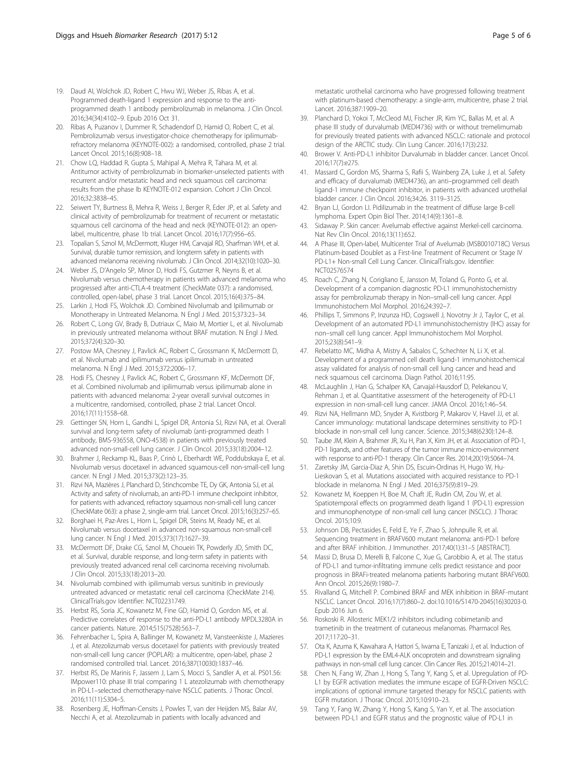- <span id="page-4-0"></span>19. Daud AI, Wolchok JD, Robert C, Hwu WJ, Weber JS, Ribas A, et al. Programmed death-ligand 1 expression and response to the antiprogrammed death 1 antibody pembrolizumab in melanoma. J Clin Oncol. 2016;34(34):4102–9. Epub 2016 Oct 31.
- 20. Ribas A, Puzanov I, Dummer R, Schadendorf D, Hamid O, Robert C, et al. Pembrolizumab versus investigator-choice chemotherapy for ipilimumabrefractory melanoma (KEYNOTE-002): a randomised, controlled, phase 2 trial. Lancet Oncol. 2015;16(8):908–18.
- 21. Chow LQ, Haddad R, Gupta S, Mahipal A, Mehra R, Tahara M, et al. Antitumor activity of pembrolizumab in biomarker-unselected patients with recurrent and/or metastatic head and neck squamous cell carcinoma: results from the phase Ib KEYNOTE-012 expansion. Cohort J Clin Oncol. 2016;32:3838–45.
- 22. Seiwert TY, Burtness B, Mehra R, Weiss J, Berger R, Eder JP, et al. Safety and clinical activity of pembrolizumab for treatment of recurrent or metastatic squamous cell carcinoma of the head and neck (KEYNOTE-012): an openlabel, multicentre, phase 1b trial. Lancet Oncol. 2016;17(7):956–65.
- 23. Topalian S, Sznol M, McDermott, Kluger HM, Carvajal RD, Sharfman WH, et al. Survival, durable tumor remission, and longterm safety in patients with advanced melanoma receiving nivolumab. J Clin Oncol. 2014;32(10):1020–30.
- 24. Weber JS, D'Angelo SP, Minor D, Hodi FS, Gutzmer R, Neyns B, et al. Nivolumab versus chemotherapy in patients with advanced melanoma who progressed after anti-CTLA-4 treatment (CheckMate 037): a randomised, controlled, open-label, phase 3 trial. Lancet Oncol. 2015;16(4):375–84.
- 25. Larkin J, Hodi FS, Wolchok JD. Combined Nivolumab and Ipilimumab or Monotherapy in Untreated Melanoma. N Engl J Med. 2015;373:23–34.
- 26. Robert C, Long GV, Brady B, Dutriaux C, Maio M, Mortier L, et al. Nivolumab in previously untreated melanoma without BRAF mutation. N Engl J Med. 2015;372(4):320–30.
- 27. Postow MA, Chesney J, Pavlick AC, Robert C, Grossmann K, McDermott D, et al. Nivolumab and ipilimumab versus ipilimumab in untreated melanoma. N Engl J Med. 2015;372:2006–17.
- 28. Hodi FS, Chesney J, Pavlick AC, Robert C, Grossmann KF, McDermott DF, et al. Combined nivolumab and ipilimumab versus ipilimumab alone in patients with advanced melanoma: 2-year overall survival outcomes in a multicentre, randomised, controlled, phase 2 trial. Lancet Oncol. 2016;17(11):1558–68.
- 29. Gettinger SN, Horn L, Gandhi L, Spigel DR, Antonia SJ, Rizvi NA, et al. Overall survival and long-term safety of nivolumab (anti-programmed death 1 antibody, BMS-936558, ONO-4538) in patients with previously treated advanced non-small-cell lung cancer. J Clin Oncol. 2015;33(18):2004–12.
- 30. Brahmer J, Reckamp KL, Baas P, Crinò L, Eberhardt WE, Poddubskaya E, et al. Nivolumab versus docetaxel in advanced squamous-cell non-small-cell lung cancer. N Engl J Med. 2015;373(2):123–35.
- 31. Rizvi NA, Mazières J, Planchard D, Stinchcombe TE, Dy GK, Antonia SJ, et al. Activity and safety of nivolumab, an anti-PD-1 immune checkpoint inhibitor, for patients with advanced, refractory squamous non-small-cell lung cancer (CheckMate 063): a phase 2, single-arm trial. Lancet Oncol. 2015;16(3):257–65.
- 32. Borghaei H, Paz-Ares L, Horn L, Spigel DR, Steins M, Ready NE, et al. Nivolumab versus docetaxel in advanced non-squamous non-small-cell lung cancer. N Engl J Med. 2015;373(17):1627–39.
- 33. McDermott DF, Drake CG, Sznol M, Choueiri TK, Powderly JD, Smith DC, et al. Survival, durable response, and long-term safety in patients with previously treated advanced renal cell carcinoma receiving nivolumab. J Clin Oncol. 2015;33(18):2013–20.
- 34. Nivolumab combined with ipilimumab versus sunitinib in previously untreated advanced or metastatic renal cell carcinoma (CheckMate 214). ClinicalTrials.gov Identifier: NCT02231749.
- 35. Herbst RS, Soria JC, Kowanetz M, Fine GD, Hamid O, Gordon MS, et al. Predictive correlates of response to the anti-PD-L1 antibody MPDL3280A in cancer patients. Nature. 2014;515(7528):563–7.
- 36. Fehrenbacher L, Spira A, Ballinger M, Kowanetz M, Vansteenkiste J, Mazieres J, et al. Atezolizumab versus docetaxel for patients with previously treated non-small-cell lung cancer (POPLAR): a multicentre, open-label, phase 2 randomised controlled trial. Lancet. 2016;387(10030):1837–46.
- 37. Herbst RS, De Marinis F, Jassem J, Lam S, Mocci S, Sandler A, et al. PS01.56: IMpower110: phase III trial comparing 1 L atezolizumab with chemotherapy in PD-L1–selected chemotherapy-naive NSCLC patients. J Thorac Oncol. 2016;11(11):S304–5.
- 38. Rosenberg JE, Hoffman-Censits J, Powles T, van der Heijden MS, Balar AV, Necchi A, et al. Atezolizumab in patients with locally advanced and

metastatic urothelial carcinoma who have progressed following treatment with platinum-based chemotherapy: a single-arm, multicentre, phase 2 trial. Lancet. 2016;387:1909–20.

- 39. Planchard D, Yokoi T, McCleod MJ, Fischer JR, Kim YC, Ballas M, et al. A phase III study of durvalumab (MEDI4736) with or without tremelimumab for previously treated patients with advanced NSCLC: rationale and protocol design of the ARCTIC study. Clin Lung Cancer. 2016;17(3):232.
- 40. Brower V. Anti-PD-L1 inhibitor Durvalumab in bladder cancer. Lancet Oncol. 2016;17(7):e275.
- 41. Massard C, Gordon MS, Sharma S, Rafii S, Wainberg ZA, Luke J, et al. Safety and efficacy of durvalumab (MEDI4736), an anti–programmed cell death ligand-1 immune checkpoint inhibitor, in patients with advanced urothelial bladder cancer. J Clin Oncol. 2016;34:26. 3119–3125.
- 42. Bryan LJ, Gordon LI. Pidilizumab in the treatment of diffuse large B-cell lymphoma. Expert Opin Biol Ther. 2014;14(9):1361–8.
- 43. Sidaway P. Skin cancer: Avelumab effective against Merkel-cell carcinoma. Nat Rev Clin Oncol. 2016;13(11):652.
- 44. A Phase III, Open-label, Multicenter Trial of Avelumab (MSB0010718C) Versus Platinum-based Doublet as a First-line Treatment of Recurrent or Stage IV PD-L1+ Non-small Cell Lung Cancer. ClinicalTrials.gov. Identifier: NCT02576574
- 45. Roach C, Zhang N, Corigliano E, Jansson M, Toland G, Ponto G, et al. Development of a companion diagnostic PD-L1 immunohistochemistry assay for pembrolizumab therapy in Non–small-cell lung cancer. Appl Immunohistochem Mol Morphol. 2016;24:392–7.
- 46. Phillips T, Simmons P, Inzunza HD, Cogswell J, Novotny Jr J, Taylor C, et al. Development of an automated PD-L1 immunohistochemistry (IHC) assay for non–small cell lung cancer. Appl Immunohistochem Mol Morphol. 2015;23(8):541–9.
- 47. Rebelatto MC, Midha A, Mistry A, Sabalos C, Schechter N, Li X, et al. Development of a programmed cell death ligand-1 immunohistochemical assay validated for analysis of non-small cell lung cancer and head and neck squamous cell carcinoma. Diagn Pathol. 2016;11:95.
- 48. McLaughlin J, Han G, Schalper KA, Carvajal-Hausdorf D, Pelekanou V, Rehman J, et al. Quantitative assessment of the heterogeneity of PD-L1 expression in non-small-cell lung cancer. JAMA Oncol. 2016;1:46–54.
- 49. Rizvi NA, Hellmann MD, Snyder A, Kvistborg P, Makarov V, Havel JJ, et al. Cancer immunology: mutational landscape determines sensitivity to PD-1 blockade in non-small cell lung cancer. Science. 2015;348(6230):124–8.
- 50. Taube JM, Klein A, Brahmer JR, Xu H, Pan X, Kim JH, et al. Association of PD-1, PD-1 ligands, and other features of the tumor immune micro-environment with response to anti-PD-1 therapy. Clin Cancer Res. 2014;20(19):5064–74.
- 51. Zaretsky JM, Garcia-Diaz A, Shin DS, Escuin-Ordinas H, Hugo W, Hu-Lieskovan S, et al. Mutations associated with acquired resistance to PD-1 blockade in melanoma. N Engl J Med. 2016;375(9):819–29.
- 52. Kowanetz M, Koeppen H, Boe M, Chaft JE, Rudin CM, Zou W, et al. Spatiotemporal effects on programmed death ligand 1 (PD-L1) expression and immunophenotype of non-small cell lung cancer (NSCLC). J Thorac Oncol. 2015;10:9.
- 53. Johnson DB, Pectasides E, Feld E, Ye F, Zhao S, Johnpulle R, et al. Sequencing treatment in BRAFV600 mutant melanoma: anti-PD-1 before and after BRAF inhibition. J Immunother. 2017;40(1):31–5 [ABSTRACT].
- 54. Massi D, Brusa D, Merelli B, Falcone C, Xue G, Carobbio A, et al. The status of PD-L1 and tumor-infiltrating immune cells predict resistance and poor prognosis in BRAFi-treated melanoma patients harboring mutant BRAFV600. Ann Oncol. 2015;26(9):1980–7.
- 55. Rivalland G, Mitchell P. Combined BRAF and MEK inhibition in BRAF-mutant NSCLC. Lancet Oncol. 2016;17(7):860–2. doi[:10.1016/S1470-2045\(16\)30203-0.](http://dx.doi.org/10.1016/S1470-2045(16)30203-0) Epub 2016 Jun 6.
- 56. Roskoski R. Allosteric MEK1/2 inhibitors including cobimetanib and trametinib in the treatment of cutaneous melanomas. Pharmacol Res. 2017;117:20–31.
- 57. Ota K, Azuma K, Kawahara A, Hattori S, Iwama E, Tanizaki J, et al. Induction of PD-L1 expression by the EML4-ALK oncoprotein and downstream signaling pathways in non-small cell lung cancer. Clin Cancer Res. 2015;21:4014–21.
- 58. Chen N, Fang W, Zhan J, Hong S, Tang Y, Kang S, et al. Upregulation of PD-L1 by EGFR activation mediates the immune escape of EGFR-Driven NSCLC: implications of optional immune targeted therapy for NSCLC patients with EGFR mutation. J Thorac Oncol. 2015;10:910–23.
- 59. Tang Y, Fang W, Zhang Y, Hong S, Kang S, Yan Y, et al. The association between PD-L1 and EGFR status and the prognostic value of PD-L1 in